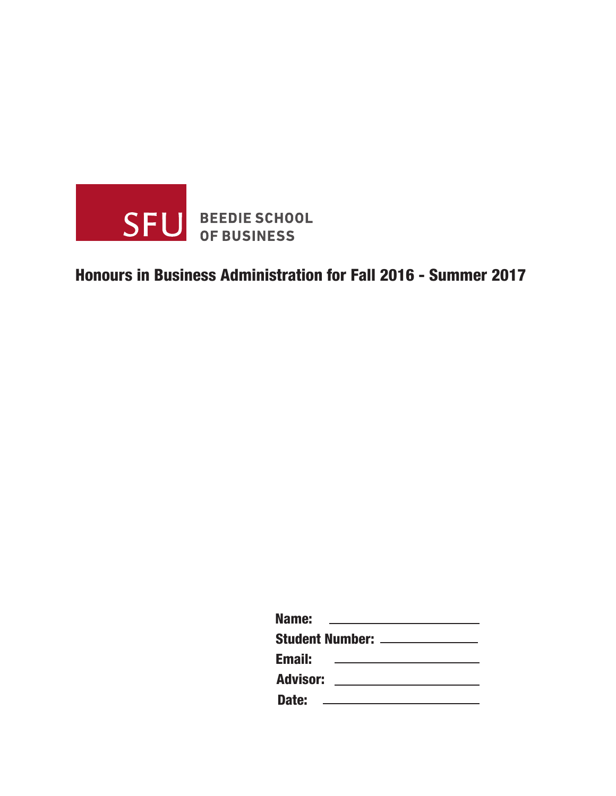

## Honours in Business Administration for Fall 2016 - Summer 2017

| Name:                          |  |  |  |  |  |
|--------------------------------|--|--|--|--|--|
| Student Number: ______________ |  |  |  |  |  |
| <b>Email:</b>                  |  |  |  |  |  |
| <b>Advisor:</b>                |  |  |  |  |  |
| Date:                          |  |  |  |  |  |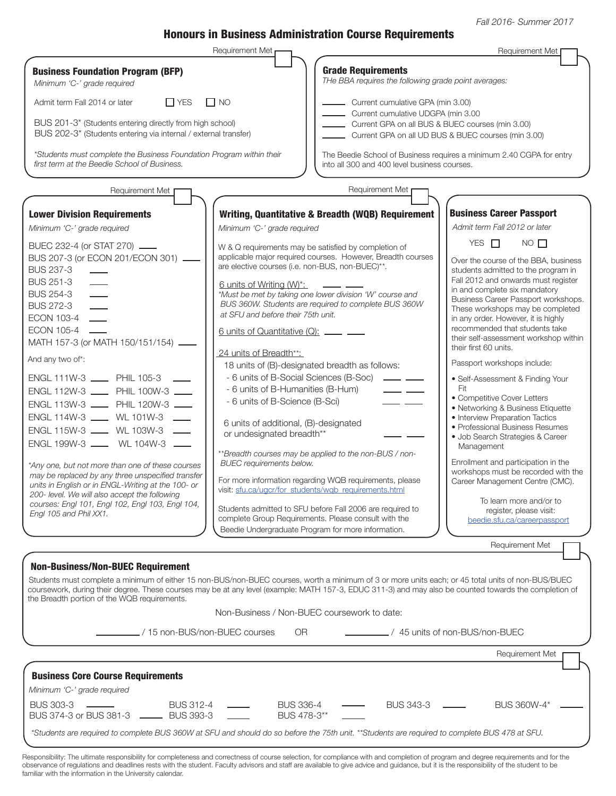Fall 2016- Summer 2017

## Honours in Business Administration Course Requirements

|                                                                                                                                                                                                                                                                                                                                                                                                                                                                                                                                                                                                                                                                                                                                                                                                                                   | Requirement Met                                                                                                                                                                                                                                                                                                                                                                                                                                                                                                                                                                                                         |                                                                                                                                                                                                                                                                                                                                                                                                                                                                                                                    | Requirement Met                                                                                                                                                                                                                                                                                                                                                                                                                                                                                                                                                                                                                                                                                                                                                                                                                                                                                                                                         |  |
|-----------------------------------------------------------------------------------------------------------------------------------------------------------------------------------------------------------------------------------------------------------------------------------------------------------------------------------------------------------------------------------------------------------------------------------------------------------------------------------------------------------------------------------------------------------------------------------------------------------------------------------------------------------------------------------------------------------------------------------------------------------------------------------------------------------------------------------|-------------------------------------------------------------------------------------------------------------------------------------------------------------------------------------------------------------------------------------------------------------------------------------------------------------------------------------------------------------------------------------------------------------------------------------------------------------------------------------------------------------------------------------------------------------------------------------------------------------------------|--------------------------------------------------------------------------------------------------------------------------------------------------------------------------------------------------------------------------------------------------------------------------------------------------------------------------------------------------------------------------------------------------------------------------------------------------------------------------------------------------------------------|---------------------------------------------------------------------------------------------------------------------------------------------------------------------------------------------------------------------------------------------------------------------------------------------------------------------------------------------------------------------------------------------------------------------------------------------------------------------------------------------------------------------------------------------------------------------------------------------------------------------------------------------------------------------------------------------------------------------------------------------------------------------------------------------------------------------------------------------------------------------------------------------------------------------------------------------------------|--|
| <b>Business Foundation Program (BFP)</b><br>Minimum 'C-' grade required                                                                                                                                                                                                                                                                                                                                                                                                                                                                                                                                                                                                                                                                                                                                                           |                                                                                                                                                                                                                                                                                                                                                                                                                                                                                                                                                                                                                         | <b>Grade Requirements</b><br>THe BBA requires the following grade point averages:                                                                                                                                                                                                                                                                                                                                                                                                                                  |                                                                                                                                                                                                                                                                                                                                                                                                                                                                                                                                                                                                                                                                                                                                                                                                                                                                                                                                                         |  |
| $\Box$ YES<br>Admit term Fall 2014 or later                                                                                                                                                                                                                                                                                                                                                                                                                                                                                                                                                                                                                                                                                                                                                                                       | $\Box$ NO                                                                                                                                                                                                                                                                                                                                                                                                                                                                                                                                                                                                               | Current cumulative GPA (min 3.00)                                                                                                                                                                                                                                                                                                                                                                                                                                                                                  |                                                                                                                                                                                                                                                                                                                                                                                                                                                                                                                                                                                                                                                                                                                                                                                                                                                                                                                                                         |  |
| BUS 201-3* (Students entering directly from high school)<br>BUS 202-3* (Students entering via internal / external transfer)                                                                                                                                                                                                                                                                                                                                                                                                                                                                                                                                                                                                                                                                                                       |                                                                                                                                                                                                                                                                                                                                                                                                                                                                                                                                                                                                                         | Current cumulative UDGPA (min 3.00<br>Current GPA on all BUS & BUEC courses (min 3.00)<br>Current GPA on all UD BUS & BUEC courses (min 3.00)                                                                                                                                                                                                                                                                                                                                                                      |                                                                                                                                                                                                                                                                                                                                                                                                                                                                                                                                                                                                                                                                                                                                                                                                                                                                                                                                                         |  |
| *Students must complete the Business Foundation Program within their<br>first term at the Beedie School of Business.                                                                                                                                                                                                                                                                                                                                                                                                                                                                                                                                                                                                                                                                                                              |                                                                                                                                                                                                                                                                                                                                                                                                                                                                                                                                                                                                                         | into all 300 and 400 level business courses.                                                                                                                                                                                                                                                                                                                                                                                                                                                                       | The Beedie School of Business requires a minimum 2.40 CGPA for entry                                                                                                                                                                                                                                                                                                                                                                                                                                                                                                                                                                                                                                                                                                                                                                                                                                                                                    |  |
| Requirement Met                                                                                                                                                                                                                                                                                                                                                                                                                                                                                                                                                                                                                                                                                                                                                                                                                   |                                                                                                                                                                                                                                                                                                                                                                                                                                                                                                                                                                                                                         | Requirement Met                                                                                                                                                                                                                                                                                                                                                                                                                                                                                                    |                                                                                                                                                                                                                                                                                                                                                                                                                                                                                                                                                                                                                                                                                                                                                                                                                                                                                                                                                         |  |
| <b>Lower Division Requirements</b><br>Minimum 'C-' grade required<br>BUEC 232-4 (or STAT 270) ____<br>BUS 207-3 (or ECON 201/ECON 301) __<br><b>BUS 237-3</b><br><b>BUS 251-3</b><br><b>BUS 254-3</b><br><b>BUS 272-3</b><br>ECON 103-4<br><b>ECON 105-4</b><br>MATH 157-3 (or MATH 150/151/154).<br>And any two of*:<br>ENGL 111W-3 _____ PHIL 105-3<br>ENGL 112W-3 ____ PHIL 100W-3 ___<br>ENGL 113W-3 ____ PHIL 120W-3 ___<br>ENGL 114W-3 ____ WL 101W-3 ___<br>ENGL 115W-3 ____ WL 103W-3 ___<br>ENGL 199W-3 _____ WL 104W-3 __<br>*Any one, but not more than one of these courses<br>may be replaced by any three unspecified transfer<br>units in English or in ENGL-Writing at the 100- or<br>200- level. We will also accept the following<br>courses: Engl 101, Engl 102, Engl 103, Engl 104,<br>Engl 105 and Phil XX1. | Minimum 'C-' grade required<br>W & Q requirements may be satisfied by completion of<br>are elective courses (i.e. non-BUS, non-BUEC)**.<br><u>6 units of Writing (W)*:</u><br>at SFU and before their 75th unit.<br>6 units of Quantitative (Q): ____ __<br>24 units of Breadth**:<br>18 units of (B)-designated breadth as follows:<br>- 6 units of B-Social Sciences (B-Soc)<br>- 6 units of B-Humanities (B-Hum)<br>- 6 units of B-Science (B-Sci)<br>6 units of additional, (B)-designated<br>or undesignated breadth**<br><b>BUEC</b> requirements below.<br>visit: sfu.ca/ugcr/for_students/wgb_requirements.html | Writing, Quantitative & Breadth (WQB) Requirement<br>applicable major required courses. However, Breadth courses<br>*Must be met by taking one lower division 'W' course and<br>BUS 360W. Students are required to complete BUS 360W<br>$\overline{\phantom{a}}$<br>$ -$<br>**Breadth courses may be applied to the non-BUS / non-<br>For more information regarding WQB requirements, please<br>Students admitted to SFU before Fall 2006 are required to<br>complete Group Requirements. Please consult with the | <b>Business Career Passport</b><br>Admit term Fall 2012 or later<br>YES $\Box$<br>$NO$ $\Box$<br>Over the course of the BBA, business<br>students admitted to the program in<br>Fall 2012 and onwards must register<br>in and complete six mandatory<br>Business Career Passport workshops.<br>These workshops may be completed<br>in any order. However, it is highly<br>recommended that students take<br>their self-assessment workshop within<br>their first 60 units.<br>Passport workshops include:<br>• Self-Assessment & Finding Your<br>Fit<br>• Competitive Cover Letters<br>• Networking & Business Etiquette<br>• Interview Preparation Tactics<br>• Professional Business Resumes<br>· Job Search Strategies & Career<br>Management<br>Enrollment and participation in the<br>workshops must be recorded with the<br>Career Management Centre (CMC).<br>To learn more and/or to<br>register, please visit:<br>beedie.sfu.ca/careerpassport |  |
|                                                                                                                                                                                                                                                                                                                                                                                                                                                                                                                                                                                                                                                                                                                                                                                                                                   | Beedie Undergraduate Program for more information.                                                                                                                                                                                                                                                                                                                                                                                                                                                                                                                                                                      |                                                                                                                                                                                                                                                                                                                                                                                                                                                                                                                    |                                                                                                                                                                                                                                                                                                                                                                                                                                                                                                                                                                                                                                                                                                                                                                                                                                                                                                                                                         |  |
| <b>Non-Business/Non-BUEC Requirement</b><br>Students must complete a minimum of either 15 non-BUS/non-BUEC courses, worth a minimum of 3 or more units each; or 45 total units of non-BUS/BUEC<br>coursework, during their degree. These courses may be at any level (example: MATH 157-3, EDUC 311-3) and may also be counted towards the completion of<br>the Breadth portion of the WQB requirements.<br>./15 non-BUS/non-BUEC courses                                                                                                                                                                                                                                                                                                                                                                                         | Non-Business / Non-BUEC coursework to date:<br>OR.                                                                                                                                                                                                                                                                                                                                                                                                                                                                                                                                                                      |                                                                                                                                                                                                                                                                                                                                                                                                                                                                                                                    | Requirement Met<br>$-$ / 45 units of non-BUS/non-BUEC                                                                                                                                                                                                                                                                                                                                                                                                                                                                                                                                                                                                                                                                                                                                                                                                                                                                                                   |  |
|                                                                                                                                                                                                                                                                                                                                                                                                                                                                                                                                                                                                                                                                                                                                                                                                                                   |                                                                                                                                                                                                                                                                                                                                                                                                                                                                                                                                                                                                                         |                                                                                                                                                                                                                                                                                                                                                                                                                                                                                                                    | Requirement Met                                                                                                                                                                                                                                                                                                                                                                                                                                                                                                                                                                                                                                                                                                                                                                                                                                                                                                                                         |  |
| <b>Business Core Course Requirements</b><br>Minimum 'C-' grade required                                                                                                                                                                                                                                                                                                                                                                                                                                                                                                                                                                                                                                                                                                                                                           |                                                                                                                                                                                                                                                                                                                                                                                                                                                                                                                                                                                                                         |                                                                                                                                                                                                                                                                                                                                                                                                                                                                                                                    |                                                                                                                                                                                                                                                                                                                                                                                                                                                                                                                                                                                                                                                                                                                                                                                                                                                                                                                                                         |  |
| <b>BUS 303-3</b><br><b>BUS 312-4</b><br>BUS 374-3 or BUS 381-3 -<br><b>BUS 393-3</b>                                                                                                                                                                                                                                                                                                                                                                                                                                                                                                                                                                                                                                                                                                                                              | <b>BUS 336-4</b><br>BUS 478-3**                                                                                                                                                                                                                                                                                                                                                                                                                                                                                                                                                                                         | <b>BUS 343-3</b>                                                                                                                                                                                                                                                                                                                                                                                                                                                                                                   | BUS 360W-4*                                                                                                                                                                                                                                                                                                                                                                                                                                                                                                                                                                                                                                                                                                                                                                                                                                                                                                                                             |  |

\*Students are required to complete BUS 360W at SFU and should do so before the 75th unit. \*\*Students are required to complete BUS 478 at SFU.

Responsibility: The ultimate responsibility for completeness and correctness of course selection, for compliance with and completion of program and degree requirements and for the observance of regulations and deadlines rests with the student. Faculty advisors and staff are available to give advice and guidance, but it is the responsibility of the student to be familiar with the information in the University calendar.